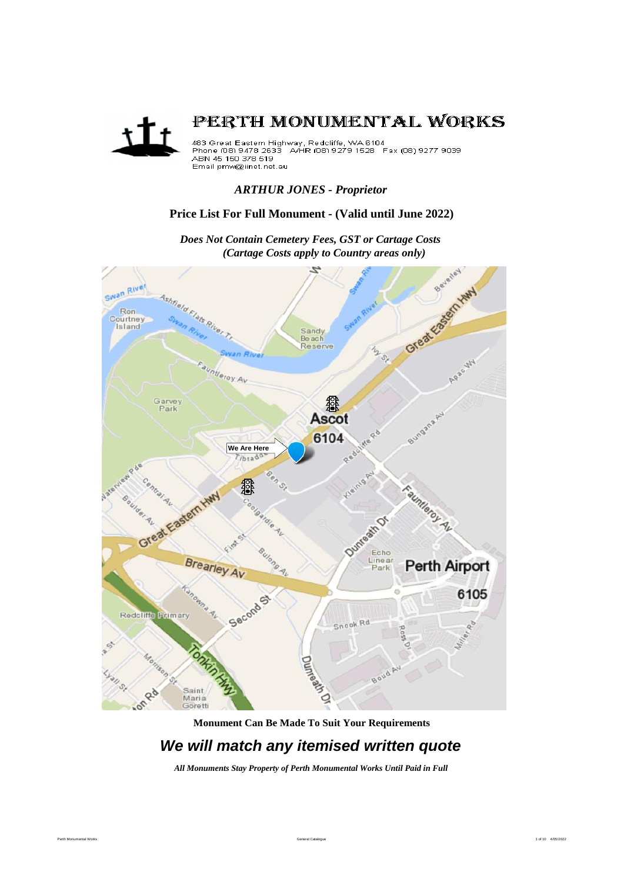

# *ARTHUR JONES - Proprietor*

# **Price List For Full Monument - (Valid until June 2022)**

Beverley Great East HWY Swan River Ashfield Flats R. Ron Courtney Island Sandy<br>Beach Reserve S, ntletoy Av 鄒 Garvey<br>Park **Ascot** 6104 **We Are Here** /brad **Bend** Equinteror Av. 鏺 Great Eastern HWY oolo Outreath Of Echo Brearley Av Line ar **Perth Airport** Ö 6105 න් Second Redcliffe Primary Snook Rd Durreak Of 80 RD Saint 100 Maria Goretti

*Does Not Contain Cemetery Fees, GST or Cartage Costs (Cartage Costs apply to Country areas only)*

# **Monument Can Be Made To Suit Your Requirements**

# *We will match any itemised written quote*

*All Monuments Stay Property of Perth Monumental Works Until Paid in Full*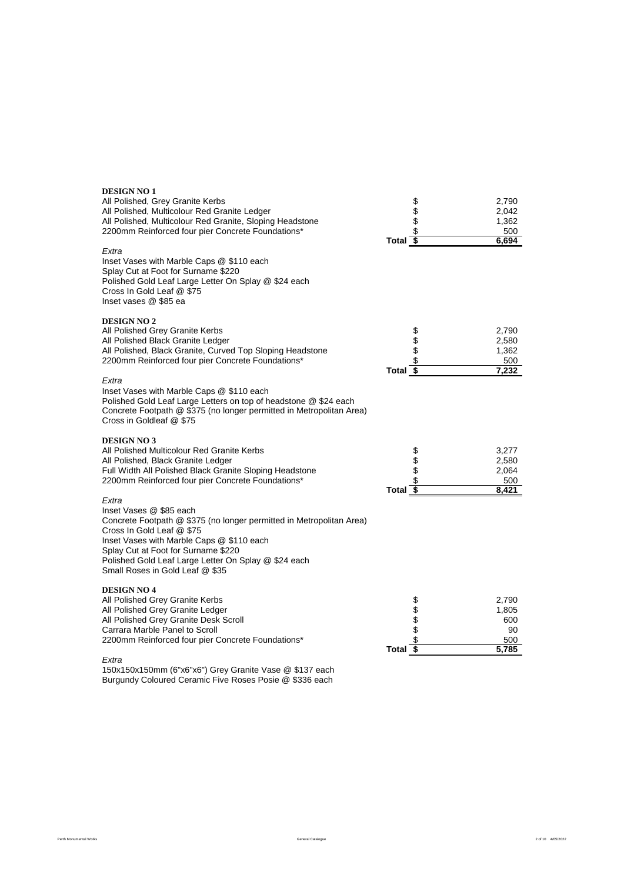| <b>DESIGN NO 1</b><br>All Polished, Grey Granite Kerbs<br>All Polished, Multicolour Red Granite Ledger<br>All Polished, Multicolour Red Granite, Sloping Headstone<br>2200mm Reinforced four pier Concrete Foundations*                                                                                              | Total $\overline{\$}$ | \$<br>\$<br>\$ | 2,790<br>2,042<br>1,362<br>500<br>6,694     |
|----------------------------------------------------------------------------------------------------------------------------------------------------------------------------------------------------------------------------------------------------------------------------------------------------------------------|-----------------------|----------------|---------------------------------------------|
| Extra<br>Inset Vases with Marble Caps @ \$110 each<br>Splay Cut at Foot for Surname \$220<br>Polished Gold Leaf Large Letter On Splay @ \$24 each<br>Cross In Gold Leaf @ \$75<br>Inset vases @ \$85 ea                                                                                                              |                       |                |                                             |
| <b>DESIGN NO 2</b><br>All Polished Grey Granite Kerbs<br>All Polished Black Granite Ledger<br>All Polished, Black Granite, Curved Top Sloping Headstone<br>2200mm Reinforced four pier Concrete Foundations*                                                                                                         | Total $\sqrt{s}$      | \$\$\$         | 2,790<br>2,580<br>1,362<br>500<br>7,232     |
| Extra<br>Inset Vases with Marble Caps @ \$110 each<br>Polished Gold Leaf Large Letters on top of headstone @ \$24 each<br>Concrete Footpath @ \$375 (no longer permitted in Metropolitan Area)<br>Cross in Goldleaf @ \$75                                                                                           |                       |                |                                             |
| <b>DESIGN NO 3</b><br>All Polished Multicolour Red Granite Kerbs<br>All Polished, Black Granite Ledger<br>Full Width All Polished Black Granite Sloping Headstone<br>2200mm Reinforced four pier Concrete Foundations*                                                                                               | Total $\overline{\$}$ | \$\$\$\$       | 3,277<br>2,580<br>2,064<br>500<br>8,421     |
| Extra<br>Inset Vases @ \$85 each<br>Concrete Footpath @ \$375 (no longer permitted in Metropolitan Area)<br>Cross In Gold Leaf @ \$75<br>Inset Vases with Marble Caps @ \$110 each<br>Splay Cut at Foot for Surname \$220<br>Polished Gold Leaf Large Letter On Splay @ \$24 each<br>Small Roses in Gold Leaf @ \$35 |                       |                |                                             |
| <b>DESIGN NO 4</b><br>All Polished Grey Granite Kerbs<br>All Polished Grey Granite Ledger<br>All Polished Grey Granite Desk Scroll<br>Carrara Marble Panel to Scroll<br>2200mm Reinforced four pier Concrete Foundations*                                                                                            | Total $\sqrt{s}$      | \$\$\$\$\$     | 2,790<br>1,805<br>600<br>90<br>500<br>5,785 |
| Extra                                                                                                                                                                                                                                                                                                                |                       |                |                                             |

150x150x150mm (6"x6"x6") Grey Granite Vase @ \$137 each Burgundy Coloured Ceramic Five Roses Posie @ \$336 each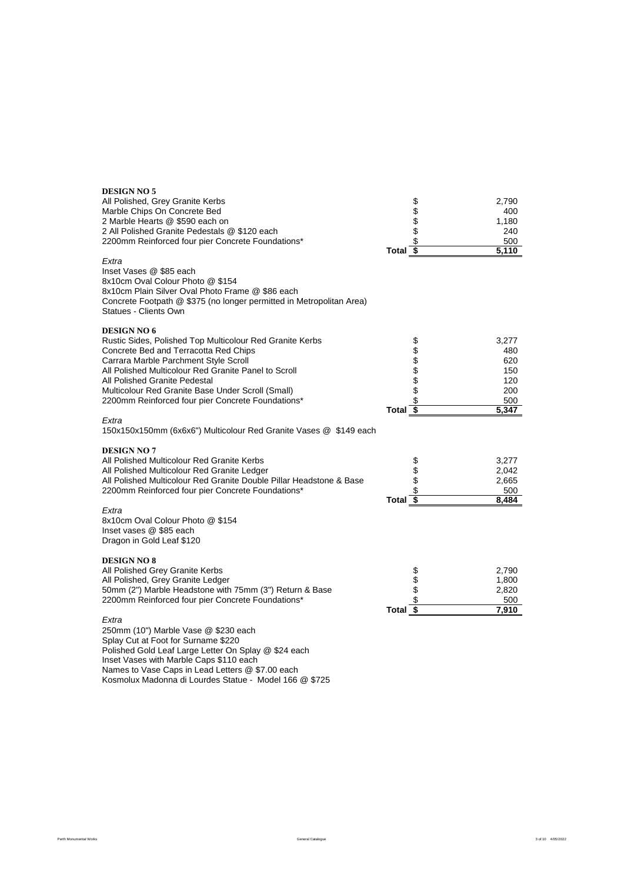| <b>DESIGN NO 5</b><br>All Polished, Grey Granite Kerbs<br>Marble Chips On Concrete Bed<br>2 Marble Hearts @ \$590 each on<br>2 All Polished Granite Pedestals @ \$120 each<br>2200mm Reinforced four pier Concrete Foundations*<br>Extra<br>Inset Vases @ \$85 each<br>8x10cm Oval Colour Photo @ \$154<br>8x10cm Plain Silver Oval Photo Frame @ \$86 each<br>Concrete Footpath @ \$375 (no longer permitted in Metropolitan Area)<br>Statues - Clients Own | Total $\overline{\$}$ | \$\$\$\$\$         | 2,790<br>400<br>1,180<br>240<br>500<br>5,110             |
|--------------------------------------------------------------------------------------------------------------------------------------------------------------------------------------------------------------------------------------------------------------------------------------------------------------------------------------------------------------------------------------------------------------------------------------------------------------|-----------------------|--------------------|----------------------------------------------------------|
| <b>DESIGN NO 6</b><br>Rustic Sides, Polished Top Multicolour Red Granite Kerbs<br>Concrete Bed and Terracotta Red Chips<br>Carrara Marble Parchment Style Scroll<br>All Polished Multicolour Red Granite Panel to Scroll<br>All Polished Granite Pedestal<br>Multicolour Red Granite Base Under Scroll (Small)<br>2200mm Reinforced four pier Concrete Foundations*<br>Extra<br>150x150x150mm (6x6x6") Multicolour Red Granite Vases @ \$149 each            | Total $\overline{\$}$ | \$<br>696969<br>\$ | 3,277<br>480<br>620<br>150<br>120<br>200<br>500<br>5,347 |
| <b>DESIGN NO 7</b><br>All Polished Multicolour Red Granite Kerbs<br>All Polished Multicolour Red Granite Ledger<br>All Polished Multicolour Red Granite Double Pillar Headstone & Base<br>2200mm Reinforced four pier Concrete Foundations*<br>Extra<br>8x10cm Oval Colour Photo @ \$154<br>Inset vases @ \$85 each<br>Dragon in Gold Leaf \$120                                                                                                             | Total $\overline{\$}$ | \$<br>\$<br>\$     | 3,277<br>2,042<br>2,665<br>500<br>8,484                  |
| <b>DESIGN NO 8</b><br>All Polished Grey Granite Kerbs<br>All Polished, Grey Granite Ledger<br>50mm (2") Marble Headstone with 75mm (3") Return & Base<br>2200mm Reinforced four pier Concrete Foundations*<br>Extra<br>250mm (10") Marble Vase @ \$230 each<br>Splay Cut at Foot for Surname \$220<br>Polished Gold Leaf Large Letter On Splay @ \$24 each<br>Inset Vases with Marble Caps \$110 each                                                        | Total \$              | \$<br>\$<br>\$     | 2,790<br>1,800<br>2,820<br>500<br>7,910                  |

Names to Vase Caps in Lead Letters @ \$7.00 each

Kosmolux Madonna di Lourdes Statue - Model 166 @ \$725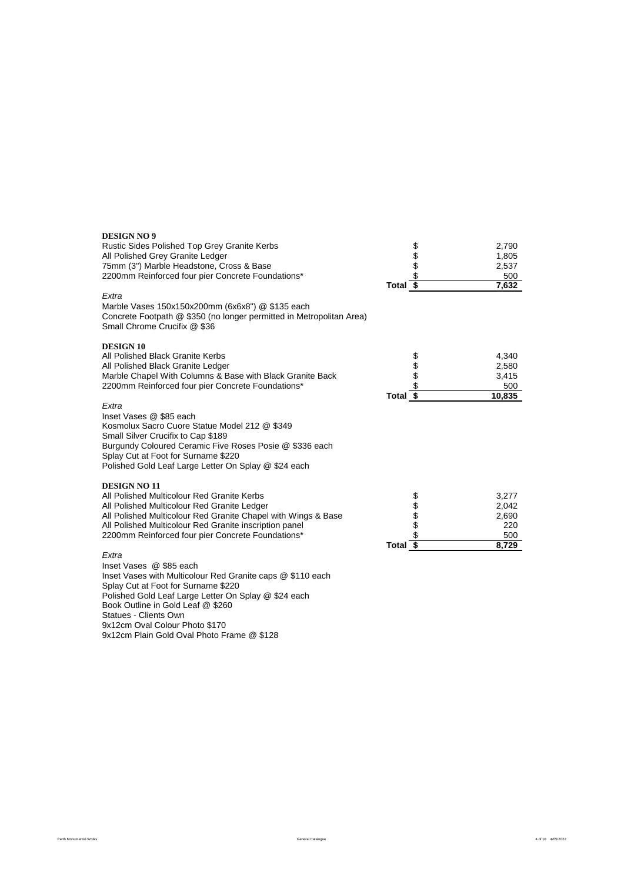| <b>DESIGN NO 9</b>                                                                                                                                                                                                                                                                |                       |          |        |
|-----------------------------------------------------------------------------------------------------------------------------------------------------------------------------------------------------------------------------------------------------------------------------------|-----------------------|----------|--------|
| Rustic Sides Polished Top Grey Granite Kerbs                                                                                                                                                                                                                                      |                       | \$<br>\$ | 2,790  |
| All Polished Grey Granite Ledger                                                                                                                                                                                                                                                  |                       |          | 1,805  |
| 75mm (3") Marble Headstone, Cross & Base                                                                                                                                                                                                                                          |                       | \$       | 2,537  |
| 2200mm Reinforced four pier Concrete Foundations*                                                                                                                                                                                                                                 |                       | \$       | 500    |
|                                                                                                                                                                                                                                                                                   | Total $\overline{\$}$ |          | 7,632  |
| Extra<br>Marble Vases 150x150x200mm (6x6x8") @ \$135 each<br>Concrete Footpath @ \$350 (no longer permitted in Metropolitan Area)<br>Small Chrome Crucifix @ \$36                                                                                                                 |                       |          |        |
| <b>DESIGN 10</b>                                                                                                                                                                                                                                                                  |                       |          |        |
| All Polished Black Granite Kerbs                                                                                                                                                                                                                                                  |                       |          | 4.340  |
| All Polished Black Granite Ledger                                                                                                                                                                                                                                                 |                       |          | 2,580  |
| Marble Chapel With Columns & Base with Black Granite Back                                                                                                                                                                                                                         |                       | \$       | 3,415  |
| 2200mm Reinforced four pier Concrete Foundations*                                                                                                                                                                                                                                 |                       | \$       | 500    |
|                                                                                                                                                                                                                                                                                   | Total $\overline{\$}$ |          | 10,835 |
| Extra<br>Inset Vases @ \$85 each<br>Kosmolux Sacro Cuore Statue Model 212 @ \$349<br>Small Silver Crucifix to Cap \$189<br>Burgundy Coloured Ceramic Five Roses Posie @ \$336 each<br>Splay Cut at Foot for Surname \$220<br>Polished Gold Leaf Large Letter On Splay @ \$24 each |                       |          |        |
| <b>DESIGN NO 11</b>                                                                                                                                                                                                                                                               |                       |          |        |
| All Polished Multicolour Red Granite Kerbs                                                                                                                                                                                                                                        |                       | \$       | 3.277  |
| All Polished Multicolour Red Granite Ledger                                                                                                                                                                                                                                       |                       | \$       | 2,042  |
| All Polished Multicolour Red Granite Chapel with Wings & Base                                                                                                                                                                                                                     |                       | \$       | 2,690  |
| All Polished Multicolour Red Granite inscription panel                                                                                                                                                                                                                            |                       | \$       | 220    |
| 2200mm Reinforced four pier Concrete Foundations*                                                                                                                                                                                                                                 |                       |          | 500    |
|                                                                                                                                                                                                                                                                                   | Total $\overline{\$}$ |          | 8,729  |
| Extra<br>$Incat \text{Vococ}$ $\otimes$ $\bullet$ $\circ$ $\circ$ $\circ$ $\circ$ $\circ$                                                                                                                                                                                         |                       |          |        |

Inset Vases @ \$85 each Inset Vases with Multicolour Red Granite caps @ \$110 each Splay Cut at Foot for Surname \$220 Polished Gold Leaf Large Letter On Splay @ \$24 each Book Outline in Gold Leaf @ \$260 Statues - Clients Own 9x12cm Oval Colour Photo \$170 9x12cm Plain Gold Oval Photo Frame @ \$128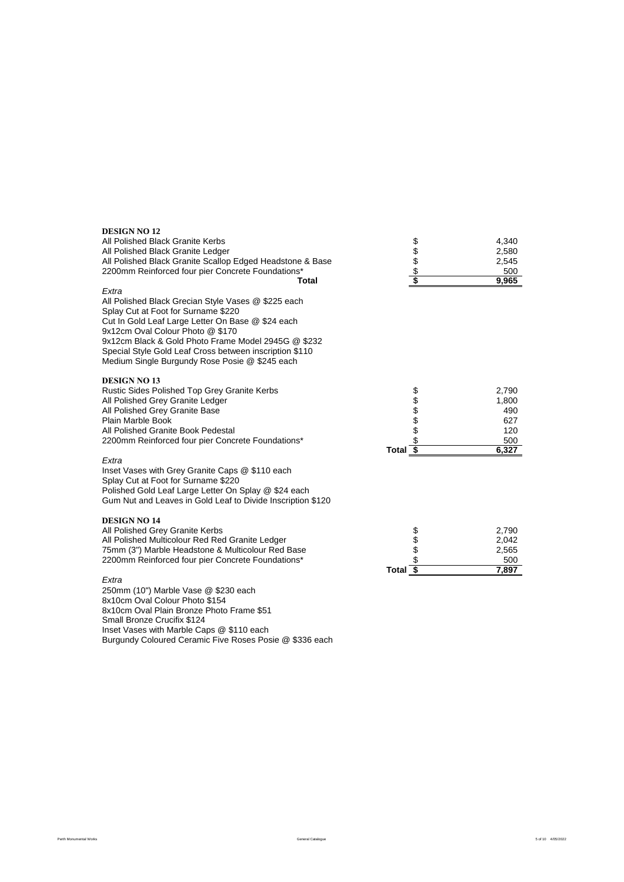| <b>DESIGN NO 12</b><br>All Polished Black Granite Kerbs<br>All Polished Black Granite Ledger                                                                                                                                                                                                                                                                     |                                            | 4,340<br>2,580                                      |
|------------------------------------------------------------------------------------------------------------------------------------------------------------------------------------------------------------------------------------------------------------------------------------------------------------------------------------------------------------------|--------------------------------------------|-----------------------------------------------------|
| All Polished Black Granite Scallop Edged Headstone & Base<br>2200mm Reinforced four pier Concrete Foundations*<br>Total                                                                                                                                                                                                                                          | \$\$\$\$\$                                 | 2,545<br>500<br>9,965                               |
| Extra<br>All Polished Black Grecian Style Vases @ \$225 each<br>Splay Cut at Foot for Surname \$220<br>Cut In Gold Leaf Large Letter On Base @ \$24 each<br>9x12cm Oval Colour Photo @ \$170<br>9x12cm Black & Gold Photo Frame Model 2945G @ \$232<br>Special Style Gold Leaf Cross between inscription \$110<br>Medium Single Burgundy Rose Posie @ \$245 each |                                            |                                                     |
| <b>DESIGN NO 13</b><br>Rustic Sides Polished Top Grey Granite Kerbs<br>All Polished Grey Granite Ledger<br>All Polished Grey Granite Base<br>Plain Marble Book<br>All Polished Granite Book Pedestal<br>2200mm Reinforced four pier Concrete Foundations*                                                                                                        | <b>888888</b><br>Total \$                  | 2,790<br>1,800<br>490<br>627<br>120<br>500<br>6,327 |
| Extra<br>Inset Vases with Grey Granite Caps @ \$110 each<br>Splay Cut at Foot for Surname \$220<br>Polished Gold Leaf Large Letter On Splay @ \$24 each<br>Gum Nut and Leaves in Gold Leaf to Divide Inscription \$120                                                                                                                                           |                                            |                                                     |
| <b>DESIGN NO 14</b><br>All Polished Grey Granite Kerbs<br>All Polished Multicolour Red Red Granite Ledger<br>75mm (3") Marble Headstone & Multicolour Red Base<br>2200mm Reinforced four pier Concrete Foundations*                                                                                                                                              | \$\$\$<br>$\overline{\mathbf{s}}$<br>Total | 2,790<br>2,042<br>2,565<br>500<br>7,897             |
| Extra                                                                                                                                                                                                                                                                                                                                                            |                                            |                                                     |

Perth Monumental Works 6.6 10 4/05/2022 A content of the Senate Catalogue 5 of 10 4/05/2022 A content of the Senate Catalogue 5 of 10 4/05/2022

250mm (10") Marble Vase @ \$230 each 8x10cm Oval Colour Photo \$154

Small Bronze Crucifix \$124

8x10cm Oval Plain Bronze Photo Frame \$51

Inset Vases with Marble Caps @ \$110 each

Burgundy Coloured Ceramic Five Roses Posie @ \$336 each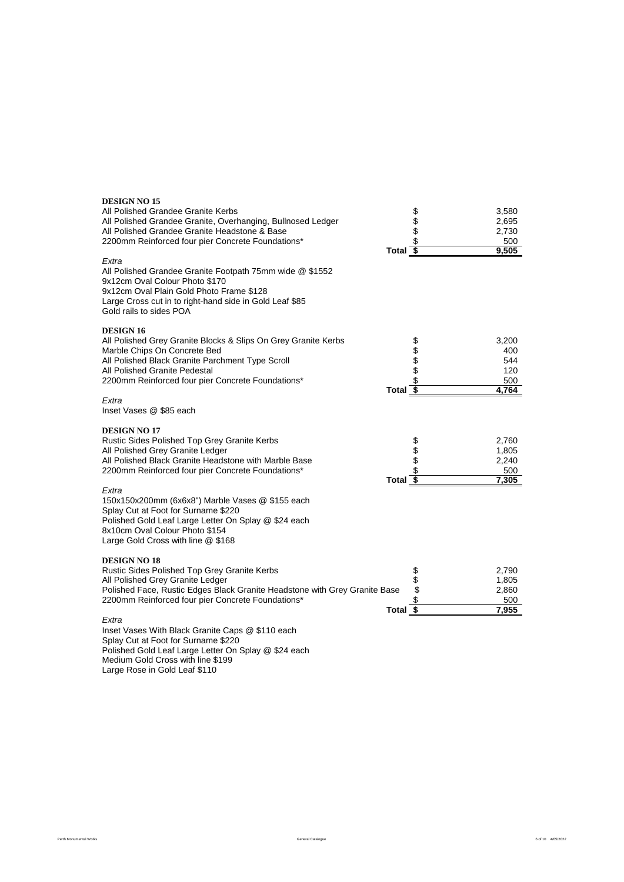| <b>DESIGN NO 15</b><br>All Polished Grandee Granite Kerbs<br>All Polished Grandee Granite, Overhanging, Bullnosed Ledger<br>All Polished Grandee Granite Headstone & Base<br>2200mm Reinforced four pier Concrete Foundations*<br>Extra<br>All Polished Grandee Granite Footpath 75mm wide @ \$1552<br>9x12cm Oval Colour Photo \$170<br>9x12cm Oval Plain Gold Photo Frame \$128<br>Large Cross cut in to right-hand side in Gold Leaf \$85<br>Gold rails to sides POA | Total $\sqrt{s}$      | \$\$\$\$       | 3,580<br>2,695<br>2,730<br>500<br>9,505    |
|-------------------------------------------------------------------------------------------------------------------------------------------------------------------------------------------------------------------------------------------------------------------------------------------------------------------------------------------------------------------------------------------------------------------------------------------------------------------------|-----------------------|----------------|--------------------------------------------|
| <b>DESIGN 16</b><br>All Polished Grey Granite Blocks & Slips On Grey Granite Kerbs<br>Marble Chips On Concrete Bed<br>All Polished Black Granite Parchment Type Scroll<br>All Polished Granite Pedestal<br>2200mm Reinforced four pier Concrete Foundations*<br>Extra<br>Inset Vases @ \$85 each                                                                                                                                                                        | Total $\overline{\$}$ | <b>88888</b>   | 3,200<br>400<br>544<br>120<br>500<br>4.764 |
| <b>DESIGN NO 17</b><br>Rustic Sides Polished Top Grey Granite Kerbs<br>All Polished Grey Granite Ledger<br>All Polished Black Granite Headstone with Marble Base<br>2200mm Reinforced four pier Concrete Foundations*<br>Extra<br>150x150x200mm (6x6x8") Marble Vases @ \$155 each                                                                                                                                                                                      | Total $\overline{\$}$ | \$<br>\$<br>\$ | 2,760<br>1,805<br>2,240<br>500<br>7,305    |
| Splay Cut at Foot for Surname \$220<br>Polished Gold Leaf Large Letter On Splay @ \$24 each<br>8x10cm Oval Colour Photo \$154<br>Large Gold Cross with line @ \$168                                                                                                                                                                                                                                                                                                     |                       |                |                                            |
| <b>DESIGN NO 18</b><br>Rustic Sides Polished Top Grey Granite Kerbs<br>All Polished Grey Granite Ledger<br>Polished Face, Rustic Edges Black Granite Headstone with Grey Granite Base<br>2200mm Reinforced four pier Concrete Foundations*                                                                                                                                                                                                                              | Total \$              | \$\$<br>\$     | 2,790<br>1,805<br>2,860<br>500<br>7,955    |
| Extra<br>Inset Vases With Black Granite Caps @ \$110 each<br>Splay Cut at Foot for Surname \$220                                                                                                                                                                                                                                                                                                                                                                        |                       |                |                                            |

Polished Gold Leaf Large Letter On Splay @ \$24 each

Medium Gold Cross with line \$199

Large Rose in Gold Leaf \$110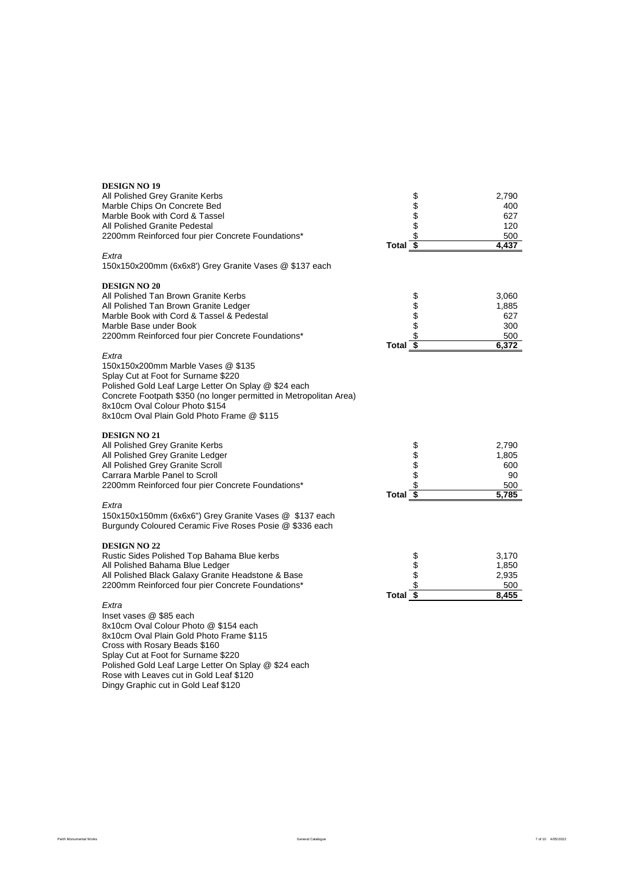| <b>DESIGN NO 19</b>                                                |                       |                            |
|--------------------------------------------------------------------|-----------------------|----------------------------|
| All Polished Grey Granite Kerbs                                    |                       | 2,790                      |
| Marble Chips On Concrete Bed                                       |                       | \$\$\$\$\$<br>400          |
| Marble Book with Cord & Tassel                                     |                       | 627                        |
| All Polished Granite Pedestal                                      |                       | 120                        |
| 2200mm Reinforced four pier Concrete Foundations*                  |                       | 500                        |
|                                                                    | Total $\overline{\$}$ | 4,437                      |
| Extra                                                              |                       |                            |
| 150x150x200mm (6x6x8') Grey Granite Vases @ \$137 each             |                       |                            |
| <b>DESIGN NO 20</b>                                                |                       |                            |
| All Polished Tan Brown Granite Kerbs                               |                       | 3,060                      |
| All Polished Tan Brown Granite Ledger                              |                       | <b>\$\$\$\$\$</b><br>1,885 |
| Marble Book with Cord & Tassel & Pedestal                          |                       | 627                        |
| Marble Base under Book                                             |                       | 300                        |
| 2200mm Reinforced four pier Concrete Foundations*                  |                       | 500                        |
|                                                                    | Total $\overline{\$}$ | 6,372                      |
| Extra                                                              |                       |                            |
| 150x150x200mm Marble Vases @ \$135                                 |                       |                            |
| Splay Cut at Foot for Surname \$220                                |                       |                            |
| Polished Gold Leaf Large Letter On Splay @ \$24 each               |                       |                            |
| Concrete Footpath \$350 (no longer permitted in Metropolitan Area) |                       |                            |
| 8x10cm Oval Colour Photo \$154                                     |                       |                            |
| 8x10cm Oval Plain Gold Photo Frame @ \$115                         |                       |                            |
| <b>DESIGN NO 21</b>                                                |                       |                            |
| All Polished Grey Granite Kerbs                                    |                       | 2,790                      |
| All Polished Grey Granite Ledger                                   |                       | \$\$\$\$\$<br>1,805        |
| All Polished Grey Granite Scroll                                   |                       | 600                        |
| Carrara Marble Panel to Scroll                                     |                       | 90                         |
| 2200mm Reinforced four pier Concrete Foundations*                  |                       | 500                        |
|                                                                    | Total $\sqrt{s}$      | 5,785                      |
| Extra                                                              |                       |                            |
| 150x150x150mm (6x6x6") Grey Granite Vases @ \$137 each             |                       |                            |
| Burgundy Coloured Ceramic Five Roses Posie @ \$336 each            |                       |                            |
| <b>DESIGN NO 22</b>                                                |                       |                            |
| Rustic Sides Polished Top Bahama Blue kerbs                        |                       | 3,170                      |
| All Polished Bahama Blue Ledger                                    |                       | 1,850                      |
| All Polished Black Galaxy Granite Headstone & Base                 |                       | 2,935                      |
| 2200mm Reinforced four pier Concrete Foundations*                  |                       | \$\$\$\$<br>500            |
|                                                                    | Total $\overline{\$}$ | 8,455                      |
| Extra                                                              |                       |                            |
| Inset vases @ \$85 each                                            |                       |                            |
| 8x10cm Oval Colour Photo @ \$154 each                              |                       |                            |

8x10cm Oval Colour Photo @ \$154 each 8x10cm Oval Plain Gold Photo Frame \$115 Cross with Rosary Beads \$160 Splay Cut at Foot for Surname \$220 Polished Gold Leaf Large Letter On Splay @ \$24 each Rose with Leaves cut in Gold Leaf \$120 Dingy Graphic cut in Gold Leaf \$120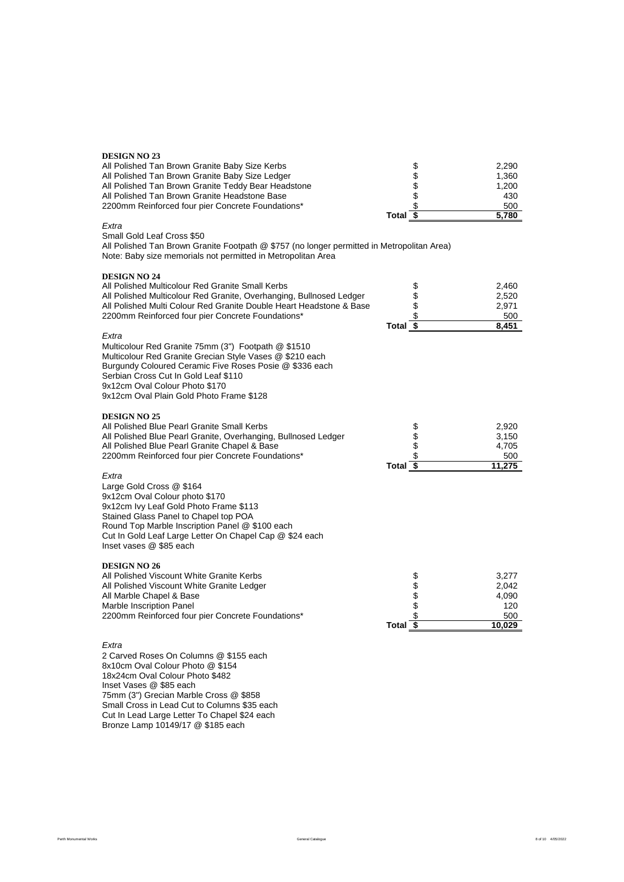# **DESIGN NO 23**

| All Polished Tan Brown Granite Baby Size Kerbs      | \$       | 2.290 |
|-----------------------------------------------------|----------|-------|
| All Polished Tan Brown Granite Baby Size Ledger     | S        | 1.360 |
| All Polished Tan Brown Granite Teddy Bear Headstone | S        | 1.200 |
| All Polished Tan Brown Granite Headstone Base       | S        | 430   |
| 2200mm Reinforced four pier Concrete Foundations*   |          | 500   |
|                                                     | Total \$ | 5.780 |

# *Extra*

Small Gold Leaf Cross \$50

All Polished Tan Brown Granite Footpath @ \$757 (no longer permitted in Metropolitan Area) Note: Baby size memorials not permitted in Metropolitan Area

| <b>DESIGN NO 24</b>                                                                                                                                                                                                                                                                                       |                                    |                                                 |
|-----------------------------------------------------------------------------------------------------------------------------------------------------------------------------------------------------------------------------------------------------------------------------------------------------------|------------------------------------|-------------------------------------------------|
| All Polished Multicolour Red Granite Small Kerbs                                                                                                                                                                                                                                                          | \$                                 | 2,460                                           |
| All Polished Multicolour Red Granite, Overhanging, Bullnosed Ledger                                                                                                                                                                                                                                       | \$                                 | 2,520                                           |
| All Polished Multi Colour Red Granite Double Heart Headstone & Base                                                                                                                                                                                                                                       | \$                                 | 2,971                                           |
| 2200mm Reinforced four pier Concrete Foundations*                                                                                                                                                                                                                                                         | \$                                 | 500                                             |
|                                                                                                                                                                                                                                                                                                           | Total $\overline{\$}$              | 8.451                                           |
| Extra<br>Multicolour Red Granite 75mm (3") Footpath @ \$1510<br>Multicolour Red Granite Grecian Style Vases @ \$210 each<br>Burgundy Coloured Ceramic Five Roses Posie @ \$336 each<br>Serbian Cross Cut In Gold Leaf \$110<br>9x12cm Oval Colour Photo \$170<br>9x12cm Oval Plain Gold Photo Frame \$128 |                                    |                                                 |
| <b>DESIGN NO 25</b><br>All Polished Blue Pearl Granite Small Kerbs<br>All Polished Blue Pearl Granite, Overhanging, Bullnosed Ledger<br>All Polished Blue Pearl Granite Chapel & Base<br>2200mm Reinforced four pier Concrete Foundations*                                                                | \$\$\$\$<br>Total $\overline{\$}$  | 2,920<br>3,150<br>4,705<br>500<br>11.275        |
| Extra<br>Large Gold Cross @ \$164<br>9x12cm Oval Colour photo \$170<br>9x12cm Ivy Leaf Gold Photo Frame \$113<br>Stained Glass Panel to Chapel top POA<br>Round Top Marble Inscription Panel @ \$100 each<br>Cut In Gold Leaf Large Letter On Chapel Cap @ \$24 each<br>Inset vases @ \$85 each           |                                    |                                                 |
| <b>DESIGN NO 26</b><br>All Polished Viscount White Granite Kerbs<br>All Polished Viscount White Granite Ledger<br>All Marble Chapel & Base<br>Marble Inscription Panel<br>2200mm Reinforced four pier Concrete Foundations*                                                                               | <b>88888</b><br>\$<br><b>Total</b> | 3,277<br>2,042<br>4,090<br>120<br>500<br>10.029 |

#### *Extra*

2 Carved Roses On Columns @ \$155 each 8x10cm Oval Colour Photo @ \$154 18x24cm Oval Colour Photo \$482 Inset Vases @ \$85 each 75mm (3") Grecian Marble Cross @ \$858 Small Cross in Lead Cut to Columns \$35 each Cut In Lead Large Letter To Chapel \$24 each Bronze Lamp 10149/17 @ \$185 each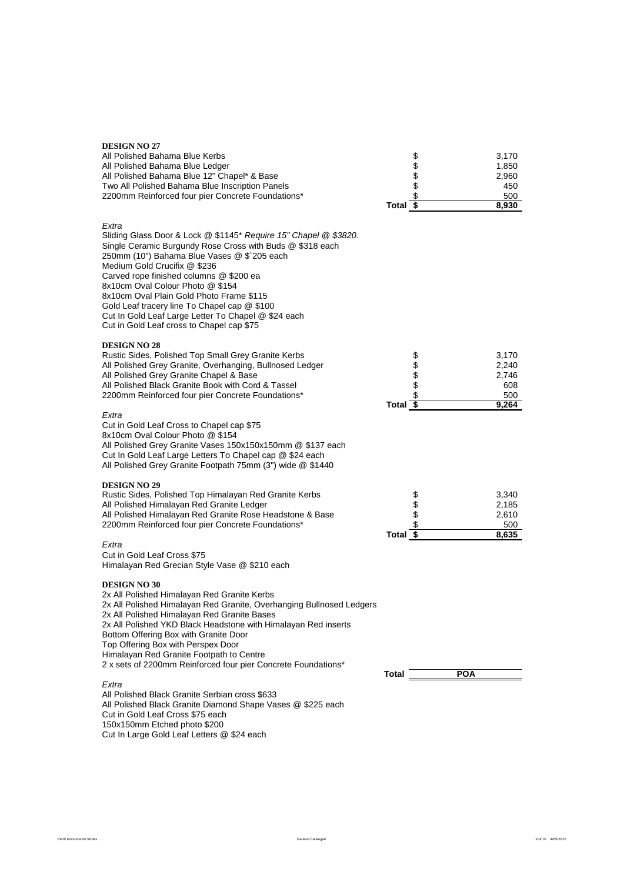| <b>DESIGN NO 27</b><br>All Polished Bahama Blue Kerbs<br>All Polished Bahama Blue Ledger<br>All Polished Bahama Blue 12" Chapel* & Base<br>Two All Polished Bahama Blue Inscription Panels<br>2200mm Reinforced four pier Concrete Foundations*                                                                                                                                                                                                                                                      | Total $\sqrt{5}$ | \$\$\$<br>\$   |            | 3,170<br>1,850<br>2,960<br>450<br>500<br>8,930 |
|------------------------------------------------------------------------------------------------------------------------------------------------------------------------------------------------------------------------------------------------------------------------------------------------------------------------------------------------------------------------------------------------------------------------------------------------------------------------------------------------------|------------------|----------------|------------|------------------------------------------------|
| Extra<br>Sliding Glass Door & Lock @ \$1145* Require 15" Chapel @ \$3820.<br>Single Ceramic Burgundy Rose Cross with Buds @ \$318 each<br>250mm (10") Bahama Blue Vases @ \$`205 each<br>Medium Gold Crucifix @ \$236<br>Carved rope finished columns @ \$200 ea<br>8x10cm Oval Colour Photo @ \$154<br>8x10cm Oval Plain Gold Photo Frame \$115<br>Gold Leaf tracery line To Chapel cap @ \$100<br>Cut In Gold Leaf Large Letter To Chapel @ \$24 each<br>Cut in Gold Leaf cross to Chapel cap \$75 |                  |                |            |                                                |
| <b>DESIGN NO 28</b><br>Rustic Sides, Polished Top Small Grey Granite Kerbs<br>All Polished Grey Granite, Overhanging, Bullnosed Ledger<br>All Polished Grey Granite Chapel & Base<br>All Polished Black Granite Book with Cord & Tassel<br>2200mm Reinforced four pier Concrete Foundations*                                                                                                                                                                                                         | Total            | \$\$\$<br>\$   |            | 3.170<br>2,240<br>2,746<br>608<br>500<br>9,264 |
| Extra<br>Cut in Gold Leaf Cross to Chapel cap \$75<br>8x10cm Oval Colour Photo @ \$154<br>All Polished Grey Granite Vases 150x150x150mm @ \$137 each<br>Cut In Gold Leaf Large Letters To Chapel cap @ \$24 each<br>All Polished Grey Granite Footpath 75mm (3") wide @ \$1440                                                                                                                                                                                                                       |                  |                |            |                                                |
| <b>DESIGN NO 29</b><br>Rustic Sides, Polished Top Himalayan Red Granite Kerbs<br>All Polished Himalayan Red Granite Ledger<br>All Polished Himalayan Red Granite Rose Headstone & Base<br>2200mm Reinforced four pier Concrete Foundations*                                                                                                                                                                                                                                                          | Total \$         | \$<br>\$<br>\$ |            | 3,340<br>2,185<br>2,610<br>500<br>8,635        |
| Extra<br>Cut in Gold Leaf Cross \$75<br>Himalayan Red Grecian Style Vase @ \$210 each                                                                                                                                                                                                                                                                                                                                                                                                                |                  |                |            |                                                |
| <b>DESIGN NO 30</b><br>2x All Polished Himalayan Red Granite Kerbs<br>2x All Polished Himalayan Red Granite, Overhanging Bullnosed Ledgers<br>2x All Polished Himalayan Red Granite Bases<br>2x All Polished YKD Black Headstone with Himalayan Red inserts<br>Bottom Offering Box with Granite Door<br>Top Offering Box with Perspex Door<br>Himalayan Red Granite Footpath to Centre<br>2 x sets of 2200mm Reinforced four pier Concrete Foundations*                                              |                  |                | <b>POA</b> |                                                |
| Extra<br>All Polished Black Granite Serbian cross \$633<br>All Polished Black Granite Diamond Shape Vases @ \$225 each<br>Cold Loot Cross CZE sook                                                                                                                                                                                                                                                                                                                                                   | Total            |                |            |                                                |

Cut in Gold Leaf Cross \$75 each

150x150mm Etched photo \$200 Cut In Large Gold Leaf Letters @ \$24 each